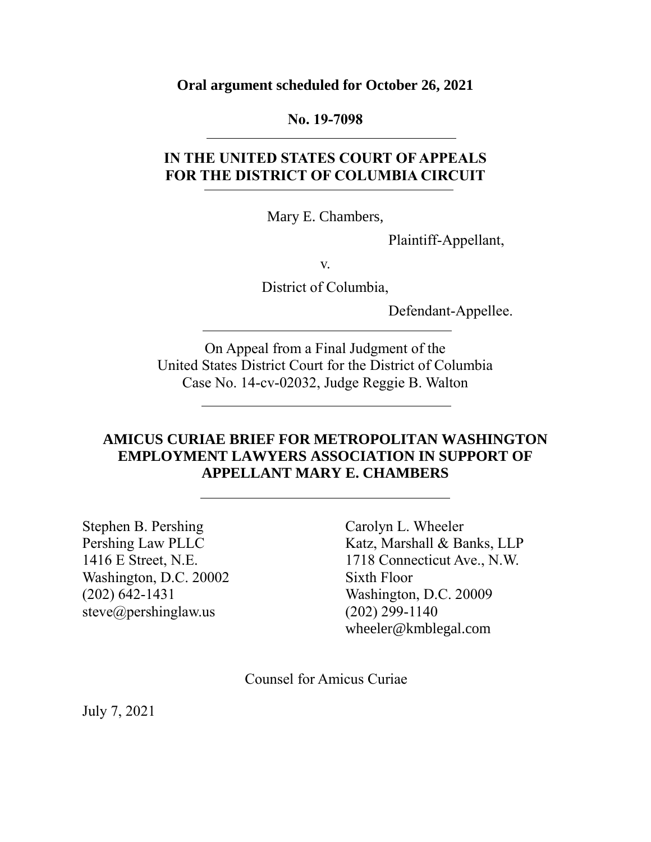**Oral argument scheduled for October 26, 2021**

#### **No. 19-7098**

## **IN THE UNITED STATES COURT OF APPEALS FOR THE DISTRICT OF COLUMBIA CIRCUIT**

Mary E. Chambers,

Plaintiff-Appellant,

v.

District of Columbia,

Defendant-Appellee.

On Appeal from a Final Judgment of the United States District Court for the District of Columbia Case No. 14-cv-02032, Judge Reggie B. Walton

### **AMICUS CURIAE BRIEF FOR METROPOLITAN WASHINGTON EMPLOYMENT LAWYERS ASSOCIATION IN SUPPORT OF APPELLANT MARY E. CHAMBERS**

Stephen B. Pershing Pershing Law PLLC 1416 E Street, N.E. Washington, D.C. 20002 (202) 642-1431 steve@pershinglaw.us

Carolyn L. Wheeler Katz, Marshall & Banks, LLP 1718 Connecticut Ave., N.W. Sixth Floor Washington, D.C. 20009 (202) 299-1140 wheeler@kmblegal.com

Counsel for Amicus Curiae

July 7, 2021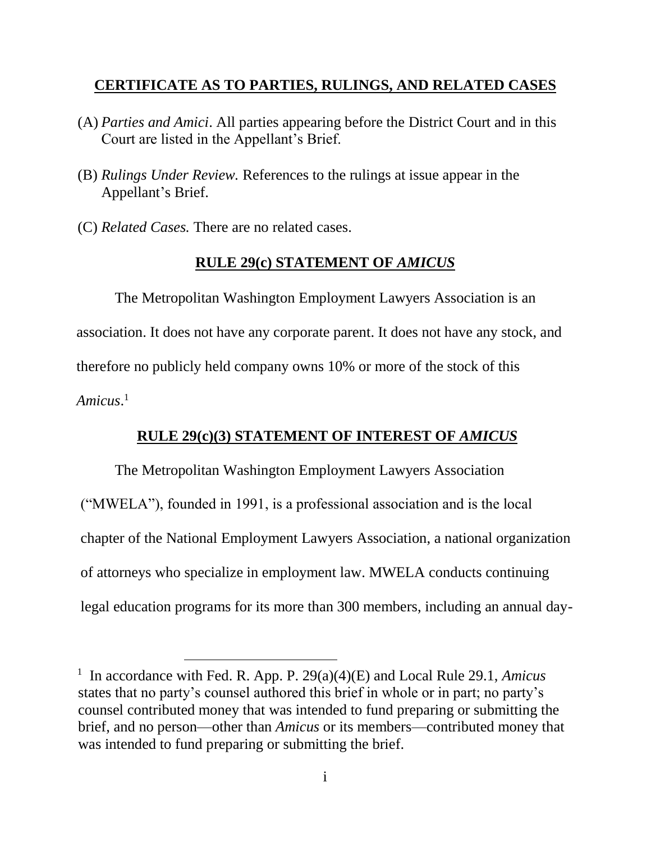## **CERTIFICATE AS TO PARTIES, RULINGS, AND RELATED CASES**

- (A) *Parties and Amici*. All parties appearing before the District Court and in this Court are listed in the Appellant's Brief.
- (B) *Rulings Under Review.* References to the rulings at issue appear in the Appellant's Brief.
- (C) *Related Cases.* There are no related cases.

l

## **RULE 29(c) STATEMENT OF** *AMICUS*

The Metropolitan Washington Employment Lawyers Association is an association. It does not have any corporate parent. It does not have any stock, and therefore no publicly held company owns 10% or more of the stock of this *Amicus*. 1

## **RULE 29(c)(3) STATEMENT OF INTEREST OF** *AMICUS*

The Metropolitan Washington Employment Lawyers Association ("MWELA"), founded in 1991, is a professional association and is the local chapter of the National Employment Lawyers Association, a national organization of attorneys who specialize in employment law. MWELA conducts continuing legal education programs for its more than 300 members, including an annual day-

<sup>1</sup> In accordance with Fed. R. App. P. 29(a)(4)(E) and Local Rule 29.1, *Amicus* states that no party's counsel authored this brief in whole or in part; no party's counsel contributed money that was intended to fund preparing or submitting the brief, and no person—other than *Amicus* or its members—contributed money that was intended to fund preparing or submitting the brief.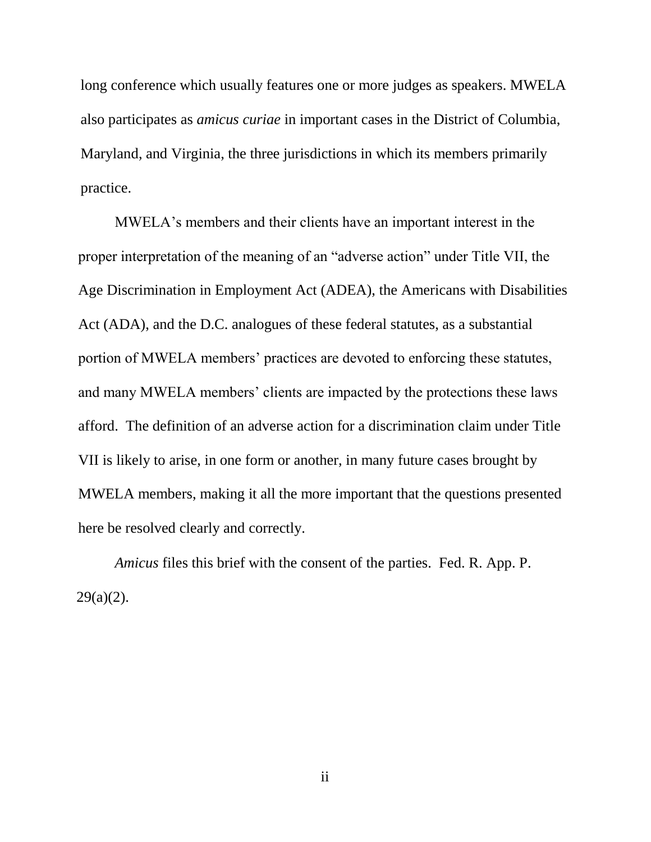long conference which usually features one or more judges as speakers. MWELA also participates as *amicus curiae* in important cases in the District of Columbia, Maryland, and Virginia, the three jurisdictions in which its members primarily practice.

MWELA's members and their clients have an important interest in the proper interpretation of the meaning of an "adverse action" under Title VII, the Age Discrimination in Employment Act (ADEA), the Americans with Disabilities Act (ADA), and the D.C. analogues of these federal statutes, as a substantial portion of MWELA members' practices are devoted to enforcing these statutes, and many MWELA members' clients are impacted by the protections these laws afford. The definition of an adverse action for a discrimination claim under Title VII is likely to arise, in one form or another, in many future cases brought by MWELA members, making it all the more important that the questions presented here be resolved clearly and correctly.

*Amicus* files this brief with the consent of the parties. Fed. R. App. P.  $29(a)(2)$ .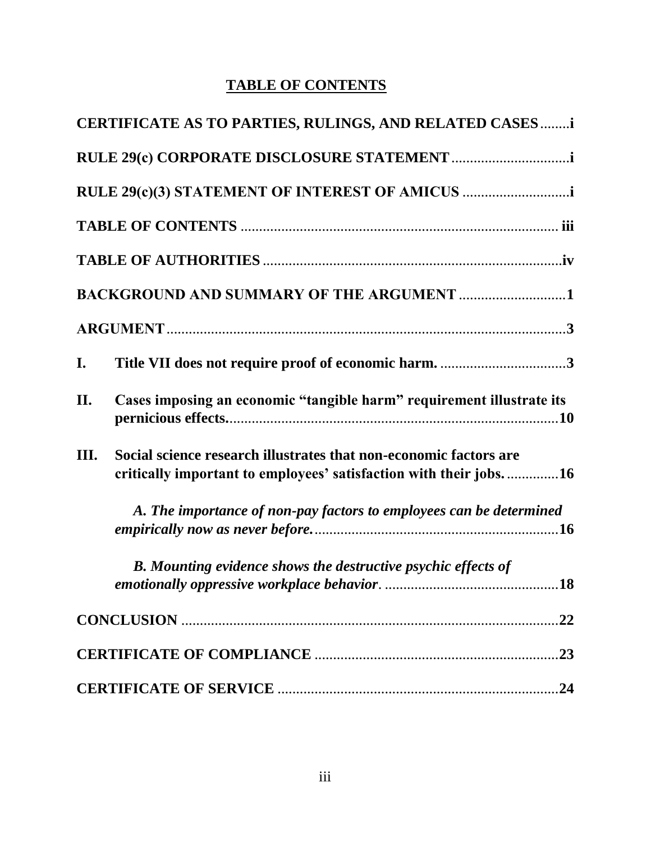# **TABLE OF CONTENTS**

|     | CERTIFICATE AS TO PARTIES, RULINGS, AND RELATED CASES i                                                                                |     |
|-----|----------------------------------------------------------------------------------------------------------------------------------------|-----|
|     |                                                                                                                                        |     |
|     | RULE 29(c)(3) STATEMENT OF INTEREST OF AMICUS                                                                                          |     |
|     |                                                                                                                                        |     |
|     |                                                                                                                                        |     |
|     | <b>BACKGROUND AND SUMMARY OF THE ARGUMENT 1</b>                                                                                        |     |
|     |                                                                                                                                        |     |
| I.  |                                                                                                                                        |     |
| II. | Cases imposing an economic "tangible harm" requirement illustrate its                                                                  |     |
| Ш.  | Social science research illustrates that non-economic factors are<br>critically important to employees' satisfaction with their jobs16 |     |
|     | A. The importance of non-pay factors to employees can be determined                                                                    |     |
|     | <b>B.</b> Mounting evidence shows the destructive psychic effects of                                                                   |     |
|     |                                                                                                                                        | 22  |
|     |                                                                                                                                        | .23 |
|     |                                                                                                                                        |     |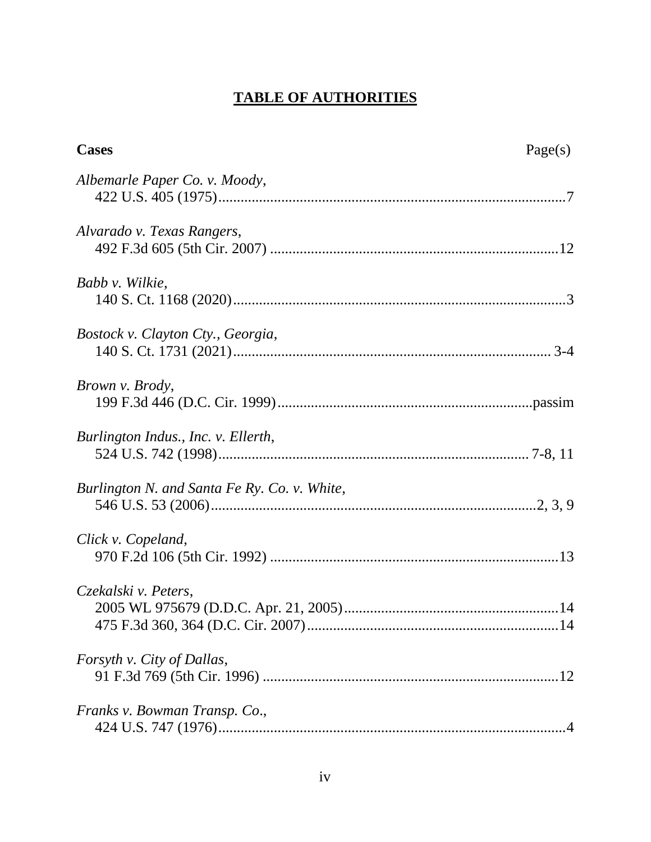## **TABLE OF AUTHORITIES**

| <b>Cases</b>                                 | Page(s) |
|----------------------------------------------|---------|
| Albemarle Paper Co. v. Moody,                |         |
| Alvarado v. Texas Rangers,                   |         |
| Babb v. Wilkie,                              |         |
| Bostock v. Clayton Cty., Georgia,            |         |
| Brown v. Brody,                              |         |
| Burlington Indus., Inc. v. Ellerth,          |         |
| Burlington N. and Santa Fe Ry. Co. v. White, |         |
| Click v. Copeland,                           |         |
| Czekalski v. Peters,                         |         |
| <i>Forsyth v. City of Dallas,</i>            |         |
| Franks v. Bowman Transp. Co.,                |         |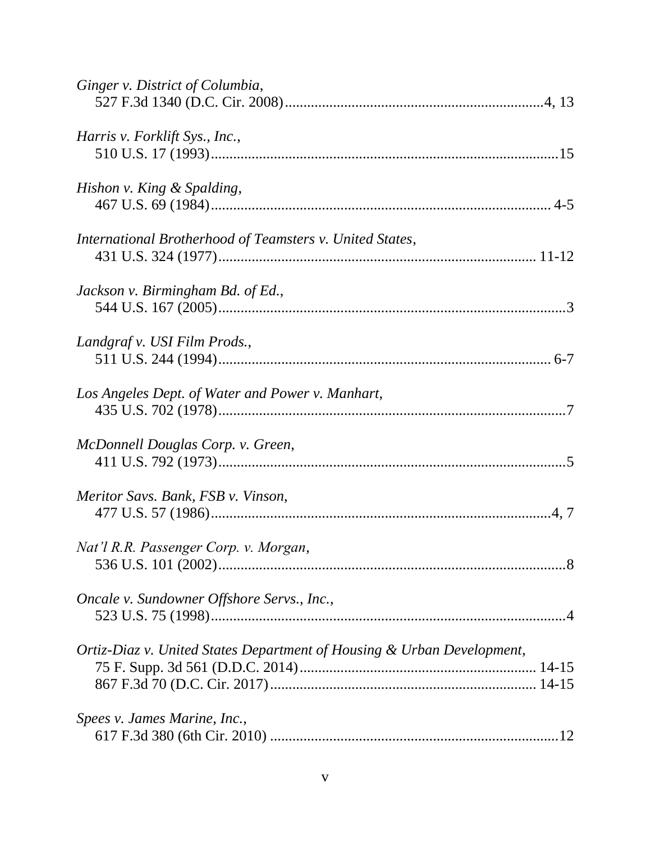| Ginger v. District of Columbia,                                        |
|------------------------------------------------------------------------|
| Harris v. Forklift Sys., Inc.,                                         |
| Hishon v. King & Spalding,                                             |
| International Brotherhood of Teamsters v. United States,               |
| Jackson v. Birmingham Bd. of Ed.,                                      |
| Landgraf v. USI Film Prods.,                                           |
| Los Angeles Dept. of Water and Power v. Manhart,                       |
| McDonnell Douglas Corp. v. Green,                                      |
| Meritor Savs. Bank, FSB v. Vinson,                                     |
| Nat'l R.R. Passenger Corp. v. Morgan,                                  |
| Oncale v. Sundowner Offshore Servs., Inc.,                             |
| Ortiz-Diaz v. United States Department of Housing & Urban Development, |
| Spees v. James Marine, Inc.,                                           |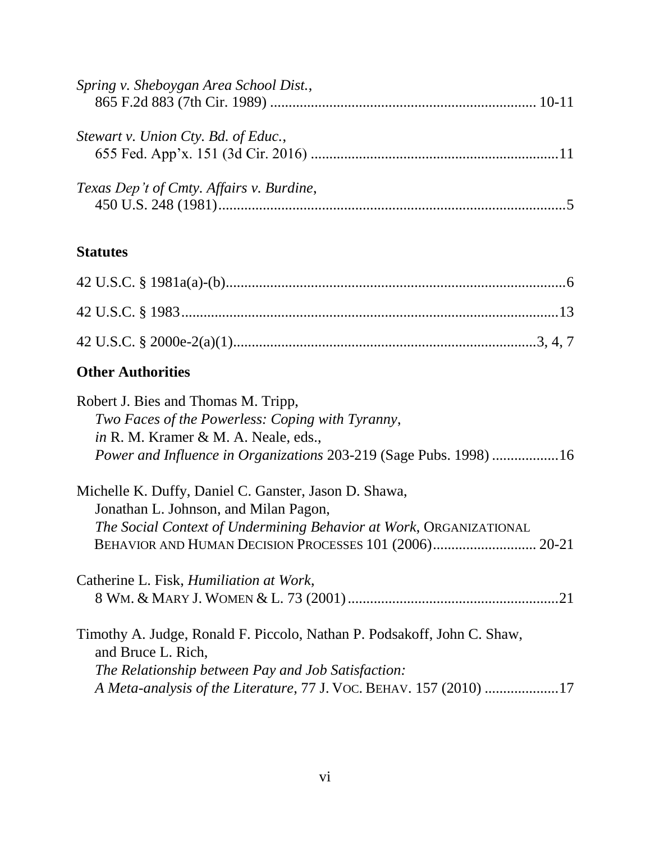| Spring v. Sheboygan Area School Dist.,          |  |
|-------------------------------------------------|--|
|                                                 |  |
|                                                 |  |
| Stewart v. Union Cty. Bd. of Educ.,             |  |
|                                                 |  |
|                                                 |  |
| <i>Texas Dep't of Cmty. Affairs v. Burdine,</i> |  |
|                                                 |  |

## **Statutes**

# **Other Authorities**

| Robert J. Bies and Thomas M. Tripp,                                                           |
|-----------------------------------------------------------------------------------------------|
| Two Faces of the Powerless: Coping with Tyranny,                                              |
| <i>in</i> R. M. Kramer & M. A. Neale, eds.,                                                   |
| Power and Influence in Organizations 203-219 (Sage Pubs. 1998) 16                             |
| Michelle K. Duffy, Daniel C. Ganster, Jason D. Shawa,                                         |
| Jonathan L. Johnson, and Milan Pagon,                                                         |
| The Social Context of Undermining Behavior at Work, ORGANIZATIONAL                            |
|                                                                                               |
| Catherine L. Fisk, <i>Humiliation at Work</i> ,                                               |
|                                                                                               |
| Timothy A. Judge, Ronald F. Piccolo, Nathan P. Podsakoff, John C. Shaw,<br>and Bruce L. Rich, |
| The Relationship between Pay and Job Satisfaction:                                            |
| A Meta-analysis of the Literature, 77 J. VOC. BEHAV. 157 (2010) 17                            |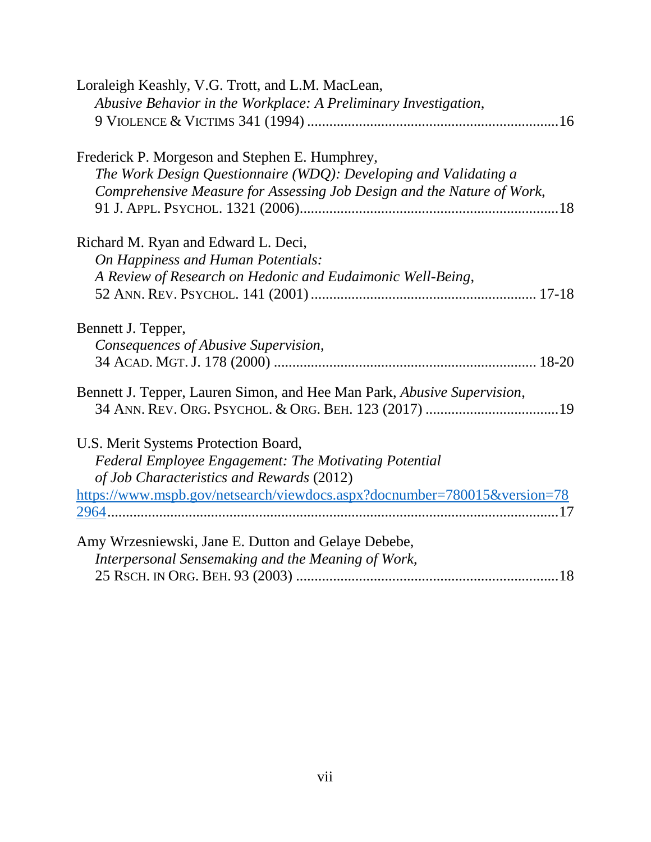| Loraleigh Keashly, V.G. Trott, and L.M. MacLean,                         |
|--------------------------------------------------------------------------|
| Abusive Behavior in the Workplace: A Preliminary Investigation,          |
|                                                                          |
| Frederick P. Morgeson and Stephen E. Humphrey,                           |
| The Work Design Questionnaire (WDQ): Developing and Validating a         |
| Comprehensive Measure for Assessing Job Design and the Nature of Work,   |
|                                                                          |
| Richard M. Ryan and Edward L. Deci,                                      |
| On Happiness and Human Potentials:                                       |
| A Review of Research on Hedonic and Eudaimonic Well-Being,               |
|                                                                          |
| Bennett J. Tepper,                                                       |
| Consequences of Abusive Supervision,                                     |
|                                                                          |
| Bennett J. Tepper, Lauren Simon, and Hee Man Park, Abusive Supervision,  |
|                                                                          |
| U.S. Merit Systems Protection Board,                                     |
| Federal Employee Engagement: The Motivating Potential                    |
| of Job Characteristics and Rewards (2012)                                |
| https://www.mspb.gov/netsearch/viewdocs.aspx?docnumber=780015&version=78 |
|                                                                          |
| Amy Wrzesniewski, Jane E. Dutton and Gelaye Debebe,                      |
| Interpersonal Sensemaking and the Meaning of Work,                       |
|                                                                          |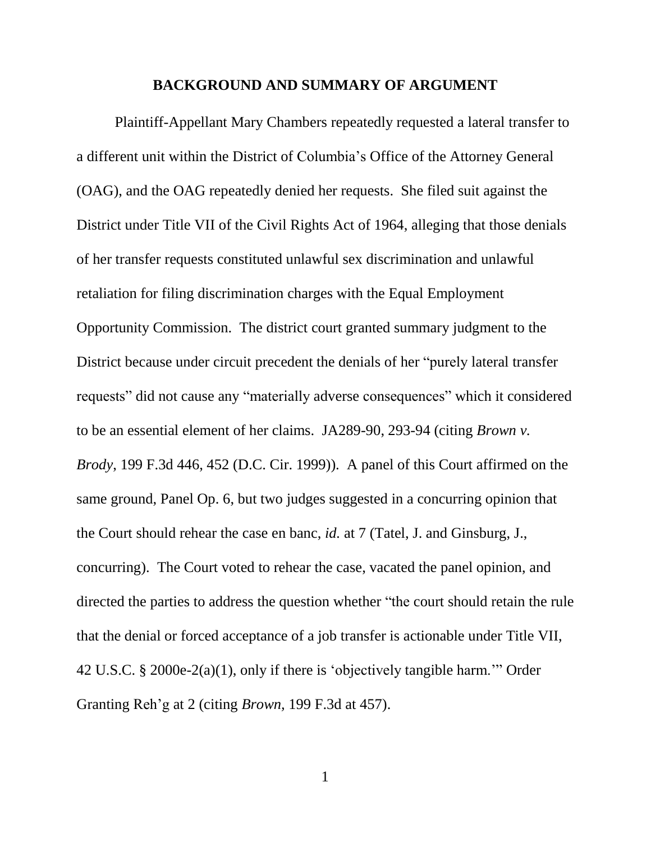#### **BACKGROUND AND SUMMARY OF ARGUMENT**

Plaintiff-Appellant Mary Chambers repeatedly requested a lateral transfer to a different unit within the District of Columbia's Office of the Attorney General (OAG), and the OAG repeatedly denied her requests. She filed suit against the District under Title VII of the Civil Rights Act of 1964, alleging that those denials of her transfer requests constituted unlawful sex discrimination and unlawful retaliation for filing discrimination charges with the Equal Employment Opportunity Commission. The district court granted summary judgment to the District because under circuit precedent the denials of her "purely lateral transfer requests" did not cause any "materially adverse consequences" which it considered to be an essential element of her claims. JA289-90, 293-94 (citing *Brown v. Brody*, 199 F.3d 446, 452 (D.C. Cir. 1999)). A panel of this Court affirmed on the same ground, Panel Op. 6, but two judges suggested in a concurring opinion that the Court should rehear the case en banc, *id.* at 7 (Tatel, J. and Ginsburg, J., concurring). The Court voted to rehear the case, vacated the panel opinion, and directed the parties to address the question whether "the court should retain the rule that the denial or forced acceptance of a job transfer is actionable under Title VII, 42 U.S.C. § 2000e-2(a)(1), only if there is 'objectively tangible harm.'" Order Granting Reh'g at 2 (citing *Brown,* 199 F.3d at 457).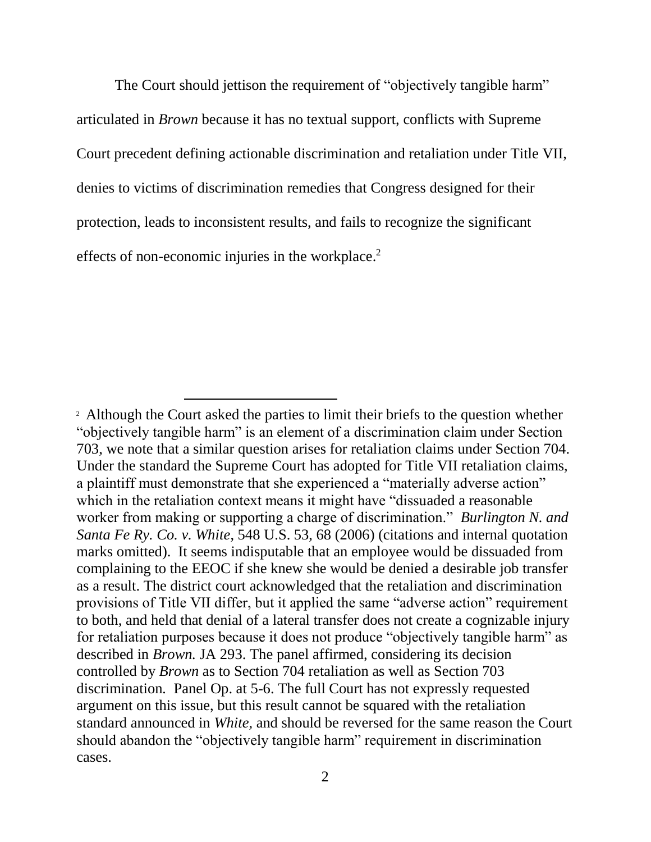The Court should jettison the requirement of "objectively tangible harm" articulated in *Brown* because it has no textual support, conflicts with Supreme Court precedent defining actionable discrimination and retaliation under Title VII, denies to victims of discrimination remedies that Congress designed for their protection, leads to inconsistent results, and fails to recognize the significant effects of non-economic injuries in the workplace.<sup>2</sup>

l

<sup>&</sup>lt;sup>2</sup> Although the Court asked the parties to limit their briefs to the question whether "objectively tangible harm" is an element of a discrimination claim under Section 703, we note that a similar question arises for retaliation claims under Section 704. Under the standard the Supreme Court has adopted for Title VII retaliation claims, a plaintiff must demonstrate that she experienced a "materially adverse action" which in the retaliation context means it might have "dissuaded a reasonable worker from making or supporting a charge of discrimination." *Burlington N. and Santa Fe Ry. Co. v. White*, 548 U.S. 53, 68 (2006) (citations and internal quotation marks omitted). It seems indisputable that an employee would be dissuaded from complaining to the EEOC if she knew she would be denied a desirable job transfer as a result. The district court acknowledged that the retaliation and discrimination provisions of Title VII differ, but it applied the same "adverse action" requirement to both, and held that denial of a lateral transfer does not create a cognizable injury for retaliation purposes because it does not produce "objectively tangible harm" as described in *Brown.* JA 293. The panel affirmed, considering its decision controlled by *Brown* as to Section 704 retaliation as well as Section 703 discrimination*.* Panel Op. at 5-6. The full Court has not expressly requested argument on this issue, but this result cannot be squared with the retaliation standard announced in *White,* and should be reversed for the same reason the Court should abandon the "objectively tangible harm" requirement in discrimination cases.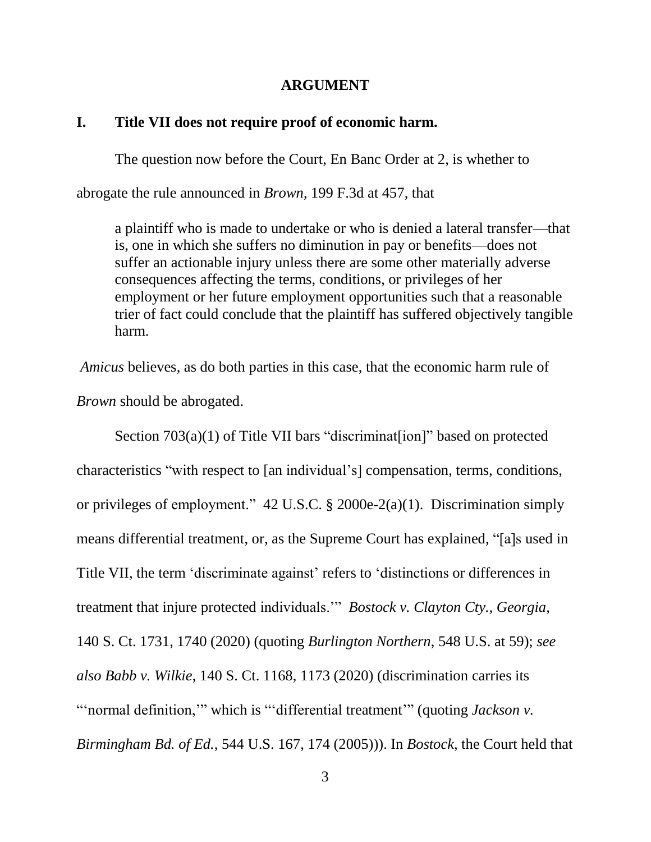#### **ARGUMENT**

#### **I. Title VII does not require proof of economic harm.**

The question now before the Court, En Banc Order at 2, is whether to abrogate the rule announced in *Brown*, 199 F.3d at 457, that

a plaintiff who is made to undertake or who is denied a lateral transfer—that is, one in which she suffers no diminution in pay or benefits—does not suffer an actionable injury unless there are some other materially adverse consequences affecting the terms, conditions, or privileges of her employment or her future employment opportunities such that a reasonable trier of fact could conclude that the plaintiff has suffered objectively tangible harm.

*Amicus* believes, as do both parties in this case, that the economic harm rule of *Brown* should be abrogated.

Section 703(a)(1) of Title VII bars "discriminat [ion]" based on protected characteristics "with respect to [an individual's] compensation, terms, conditions, or privileges of employment." 42 U.S.C. § 2000e-2(a)(1). Discrimination simply means differential treatment, or, as the Supreme Court has explained, "[a]s used in Title VII, the term 'discriminate against' refers to 'distinctions or differences in treatment that injure protected individuals.'" *Bostock v. Clayton Cty., Georgia*, 140 S. Ct. 1731, 1740 (2020) (quoting *Burlington Northern*, 548 U.S. at 59); *see also Babb v. Wilkie*, 140 S. Ct. 1168, 1173 (2020) (discrimination carries its "'normal definition,'" which is "'differential treatment'" (quoting *Jackson v. Birmingham Bd. of Ed.*, 544 U.S. 167, 174 (2005))). In *Bostock*, the Court held that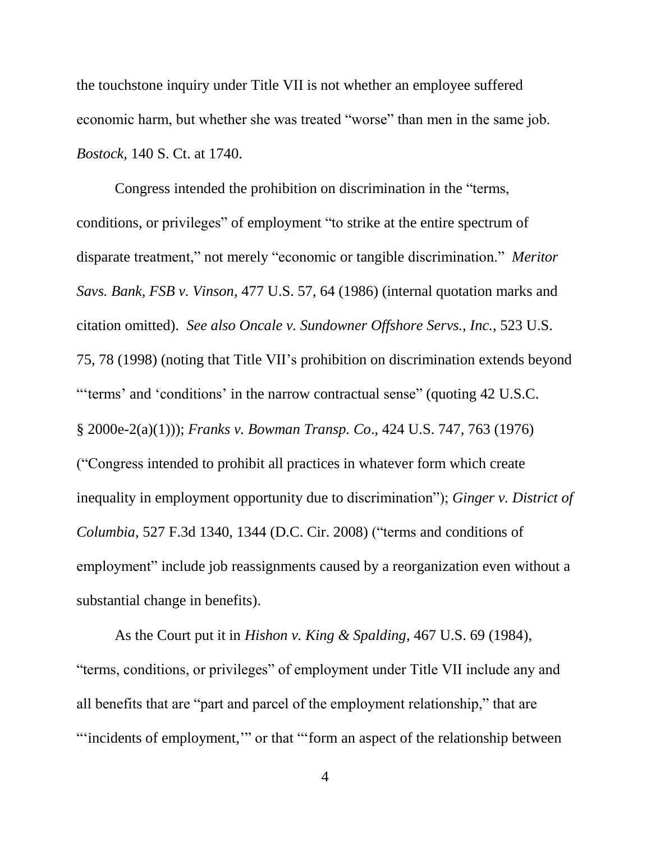the touchstone inquiry under Title VII is not whether an employee suffered economic harm, but whether she was treated "worse" than men in the same job. *Bostock*, 140 S. Ct. at 1740.

Congress intended the prohibition on discrimination in the "terms, conditions, or privileges" of employment "to strike at the entire spectrum of disparate treatment," not merely "economic or tangible discrimination." *Meritor Savs. Bank, FSB v. Vinson*, 477 U.S. 57, 64 (1986) (internal quotation marks and citation omitted). *See also Oncale v. Sundowner Offshore Servs., Inc.*, 523 U.S. 75, 78 (1998) (noting that Title VII's prohibition on discrimination extends beyond "'terms' and 'conditions' in the narrow contractual sense" (quoting 42 U.S.C. § 2000e-2(a)(1))); *Franks v. Bowman Transp. Co*., 424 U.S. 747, 763 (1976) ("Congress intended to prohibit all practices in whatever form which create inequality in employment opportunity due to discrimination"); *Ginger v. District of Columbia*, 527 F.3d 1340, 1344 (D.C. Cir. 2008) ("terms and conditions of employment" include job reassignments caused by a reorganization even without a substantial change in benefits).

As the Court put it in *Hishon v. King & Spalding*, 467 U.S. 69 (1984), "terms, conditions, or privileges" of employment under Title VII include any and all benefits that are "part and parcel of the employment relationship," that are "'incidents of employment,'" or that "'form an aspect of the relationship between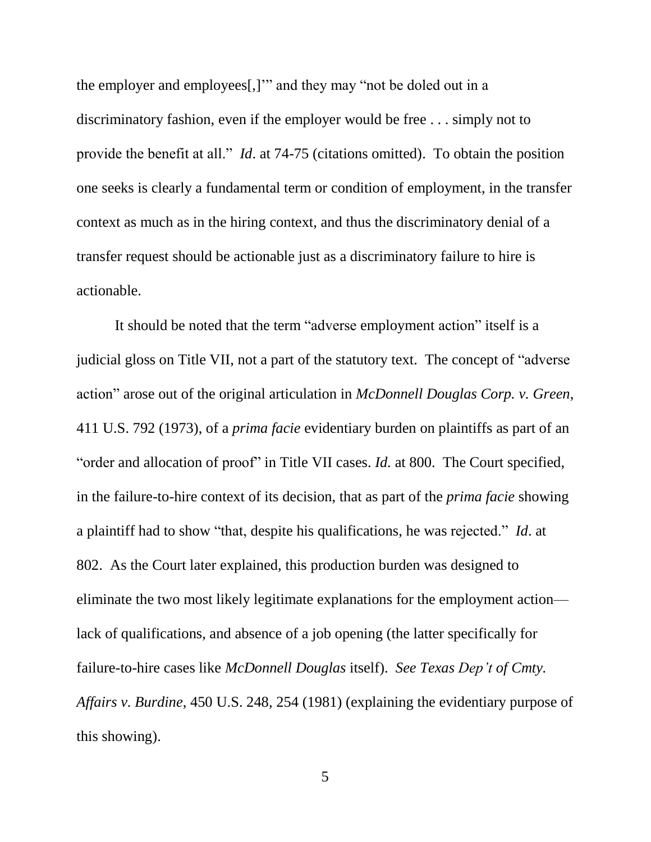the employer and employees[,]'" and they may "not be doled out in a discriminatory fashion, even if the employer would be free . . . simply not to provide the benefit at all." *Id*. at 74-75 (citations omitted). To obtain the position one seeks is clearly a fundamental term or condition of employment, in the transfer context as much as in the hiring context, and thus the discriminatory denial of a transfer request should be actionable just as a discriminatory failure to hire is actionable.

It should be noted that the term "adverse employment action" itself is a judicial gloss on Title VII, not a part of the statutory text. The concept of "adverse action" arose out of the original articulation in *McDonnell Douglas Corp. v. Green*, 411 U.S. 792 (1973), of a *prima facie* evidentiary burden on plaintiffs as part of an "order and allocation of proof" in Title VII cases. *Id.* at 800. The Court specified, in the failure-to-hire context of its decision, that as part of the *prima facie* showing a plaintiff had to show "that, despite his qualifications, he was rejected." *Id*. at 802. As the Court later explained, this production burden was designed to eliminate the two most likely legitimate explanations for the employment action lack of qualifications, and absence of a job opening (the latter specifically for failure-to-hire cases like *McDonnell Douglas* itself). *See Texas Dep't of Cmty. Affairs v. Burdine*, 450 U.S. 248, 254 (1981) (explaining the evidentiary purpose of this showing).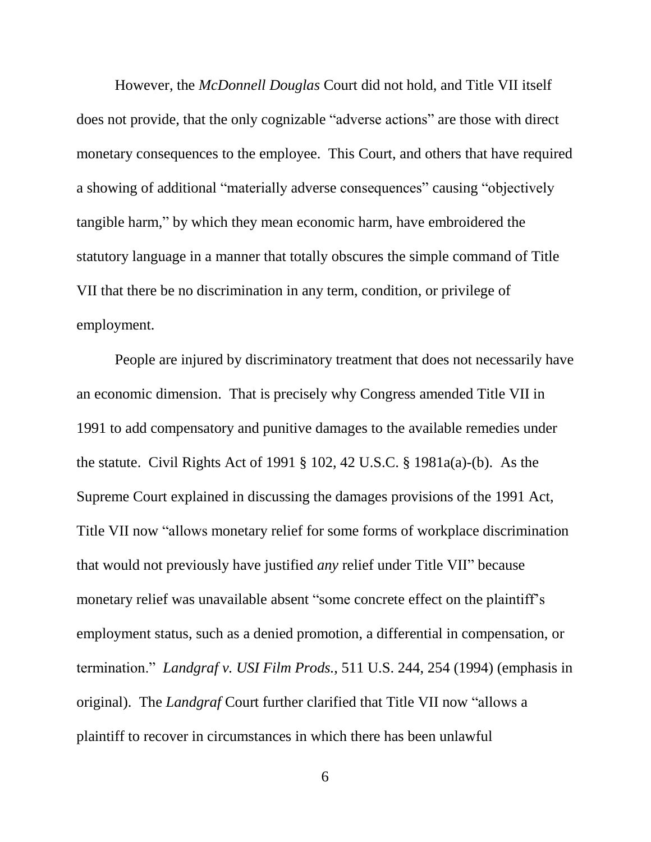However, the *McDonnell Douglas* Court did not hold, and Title VII itself does not provide, that the only cognizable "adverse actions" are those with direct monetary consequences to the employee. This Court, and others that have required a showing of additional "materially adverse consequences" causing "objectively tangible harm," by which they mean economic harm, have embroidered the statutory language in a manner that totally obscures the simple command of Title VII that there be no discrimination in any term, condition, or privilege of employment.

People are injured by discriminatory treatment that does not necessarily have an economic dimension. That is precisely why Congress amended Title VII in 1991 to add compensatory and punitive damages to the available remedies under the statute. Civil Rights Act of 1991 § 102, 42 U.S.C. § 1981a(a)-(b). As the Supreme Court explained in discussing the damages provisions of the 1991 Act, Title VII now "allows monetary relief for some forms of workplace discrimination that would not previously have justified *any* relief under Title VII" because monetary relief was unavailable absent "some concrete effect on the plaintiff's employment status, such as a denied promotion, a differential in compensation, or termination." *Landgraf v. USI Film Prods.*, 511 U.S. 244, 254 (1994) (emphasis in original). The *Landgraf* Court further clarified that Title VII now "allows a plaintiff to recover in circumstances in which there has been unlawful

6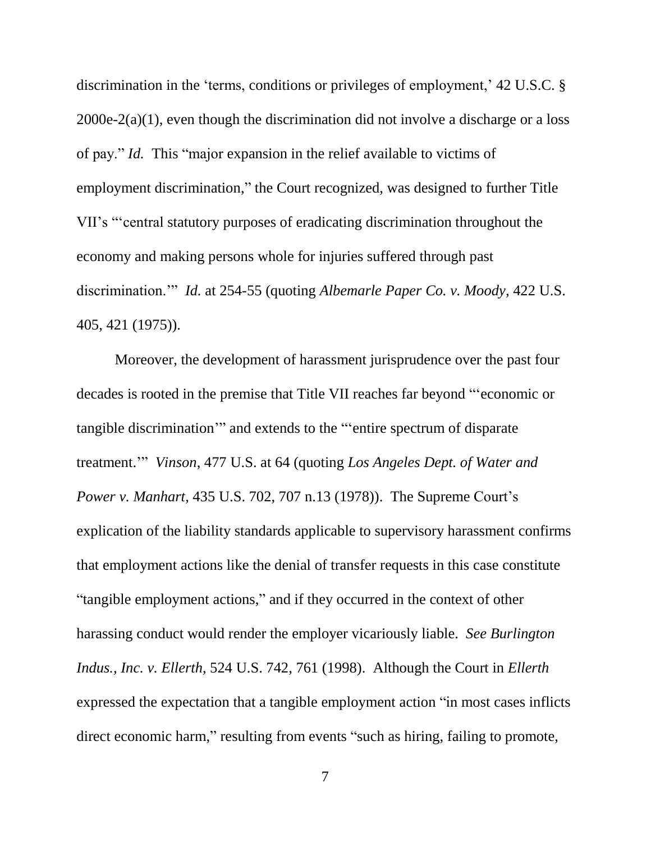discrimination in the 'terms, conditions or privileges of employment,' 42 U.S.C. § 2000e-2(a)(1), even though the discrimination did not involve a discharge or a loss of pay." *Id.* This "major expansion in the relief available to victims of employment discrimination," the Court recognized, was designed to further Title VII's "'central statutory purposes of eradicating discrimination throughout the economy and making persons whole for injuries suffered through past discrimination.'" *Id.* at 254-55 (quoting *Albemarle Paper Co. v. Moody*, 422 U.S. 405, 421 (1975)).

Moreover, the development of harassment jurisprudence over the past four decades is rooted in the premise that Title VII reaches far beyond "'economic or tangible discrimination'" and extends to the "'entire spectrum of disparate treatment.'" *Vinson*, 477 U.S. at 64 (quoting *Los Angeles Dept. of Water and Power v. Manhart*, 435 U.S. 702, 707 n.13 (1978)). The Supreme Court's explication of the liability standards applicable to supervisory harassment confirms that employment actions like the denial of transfer requests in this case constitute "tangible employment actions," and if they occurred in the context of other harassing conduct would render the employer vicariously liable. *See Burlington Indus., Inc. v. Ellerth*, 524 U.S. 742, 761 (1998). Although the Court in *Ellerth* expressed the expectation that a tangible employment action "in most cases inflicts direct economic harm," resulting from events "such as hiring, failing to promote,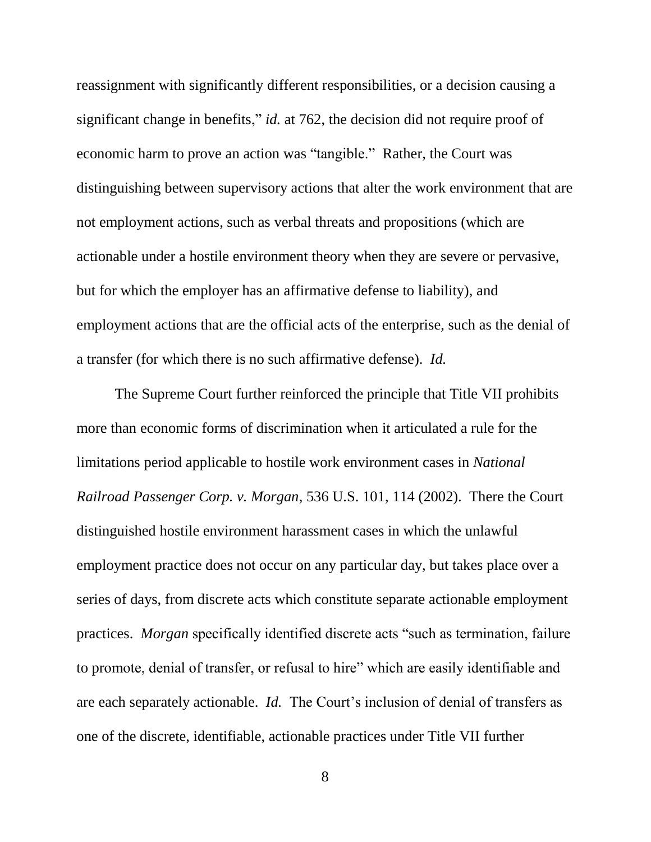reassignment with significantly different responsibilities, or a decision causing a significant change in benefits," *id.* at 762, the decision did not require proof of economic harm to prove an action was "tangible." Rather, the Court was distinguishing between supervisory actions that alter the work environment that are not employment actions, such as verbal threats and propositions (which are actionable under a hostile environment theory when they are severe or pervasive, but for which the employer has an affirmative defense to liability), and employment actions that are the official acts of the enterprise, such as the denial of a transfer (for which there is no such affirmative defense). *Id.*

The Supreme Court further reinforced the principle that Title VII prohibits more than economic forms of discrimination when it articulated a rule for the limitations period applicable to hostile work environment cases in *National Railroad Passenger Corp. v. Morgan*, 536 U.S. 101, 114 (2002). There the Court distinguished hostile environment harassment cases in which the unlawful employment practice does not occur on any particular day, but takes place over a series of days, from discrete acts which constitute separate actionable employment practices. *Morgan* specifically identified discrete acts "such as termination, failure to promote, denial of transfer, or refusal to hire" which are easily identifiable and are each separately actionable. *Id.* The Court's inclusion of denial of transfers as one of the discrete, identifiable, actionable practices under Title VII further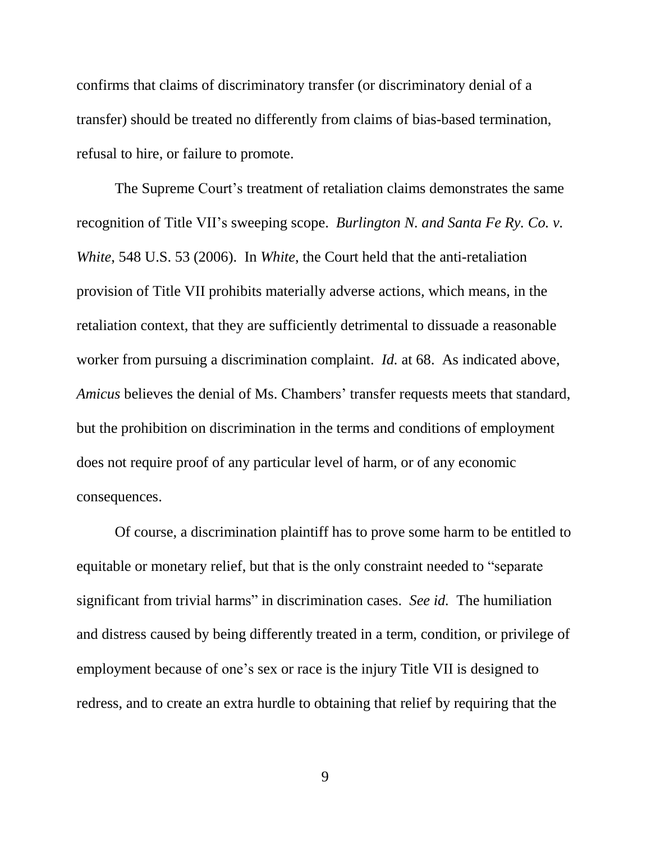confirms that claims of discriminatory transfer (or discriminatory denial of a transfer) should be treated no differently from claims of bias-based termination, refusal to hire, or failure to promote.

The Supreme Court's treatment of retaliation claims demonstrates the same recognition of Title VII's sweeping scope. *Burlington N. and Santa Fe Ry. Co. v. White*, 548 U.S. 53 (2006). In *White*, the Court held that the anti-retaliation provision of Title VII prohibits materially adverse actions*,* which means, in the retaliation context, that they are sufficiently detrimental to dissuade a reasonable worker from pursuing a discrimination complaint. *Id.* at 68.As indicated above, *Amicus* believes the denial of Ms. Chambers' transfer requests meets that standard, but the prohibition on discrimination in the terms and conditions of employment does not require proof of any particular level of harm, or of any economic consequences.

Of course, a discrimination plaintiff has to prove some harm to be entitled to equitable or monetary relief, but that is the only constraint needed to "separate significant from trivial harms" in discrimination cases. *See id.* The humiliation and distress caused by being differently treated in a term, condition, or privilege of employment because of one's sex or race is the injury Title VII is designed to redress, and to create an extra hurdle to obtaining that relief by requiring that the

9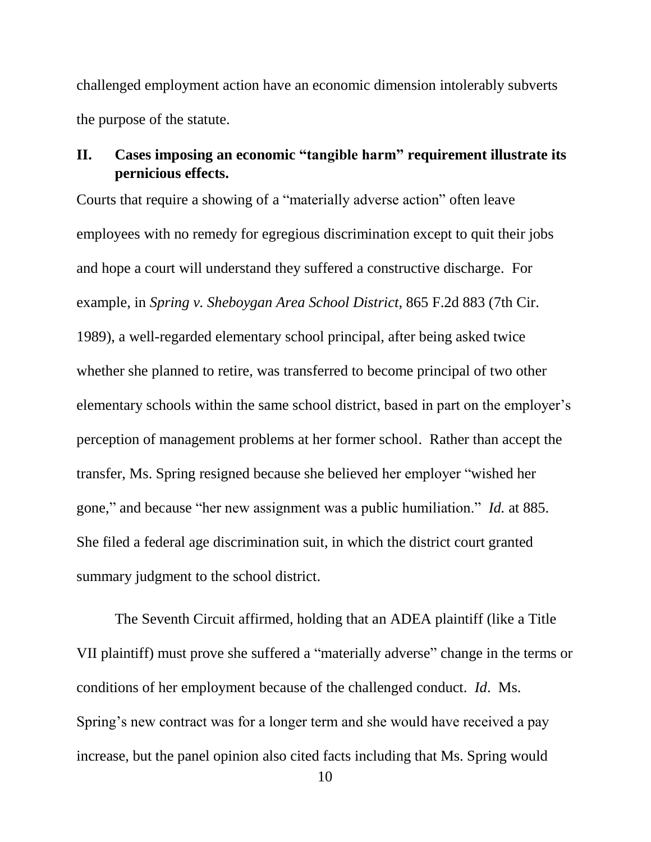challenged employment action have an economic dimension intolerably subverts the purpose of the statute.

## **II. Cases imposing an economic "tangible harm" requirement illustrate its pernicious effects.**

Courts that require a showing of a "materially adverse action" often leave employees with no remedy for egregious discrimination except to quit their jobs and hope a court will understand they suffered a constructive discharge. For example, in *Spring v. Sheboygan Area School District*, 865 F.2d 883 (7th Cir. 1989), a well-regarded elementary school principal, after being asked twice whether she planned to retire, was transferred to become principal of two other elementary schools within the same school district, based in part on the employer's perception of management problems at her former school. Rather than accept the transfer, Ms. Spring resigned because she believed her employer "wished her gone," and because "her new assignment was a public humiliation." *Id.* at 885. She filed a federal age discrimination suit, in which the district court granted summary judgment to the school district.

The Seventh Circuit affirmed, holding that an ADEA plaintiff (like a Title VII plaintiff) must prove she suffered a "materially adverse" change in the terms or conditions of her employment because of the challenged conduct. *Id*. Ms. Spring's new contract was for a longer term and she would have received a pay increase, but the panel opinion also cited facts including that Ms. Spring would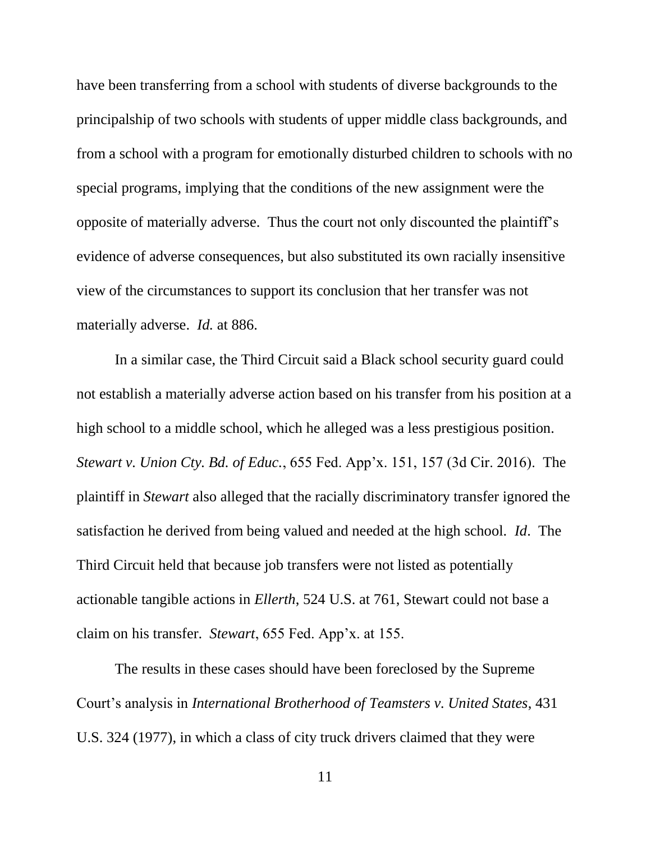have been transferring from a school with students of diverse backgrounds to the principalship of two schools with students of upper middle class backgrounds, and from a school with a program for emotionally disturbed children to schools with no special programs, implying that the conditions of the new assignment were the opposite of materially adverse. Thus the court not only discounted the plaintiff's evidence of adverse consequences, but also substituted its own racially insensitive view of the circumstances to support its conclusion that her transfer was not materially adverse. *Id.* at 886.

In a similar case, the Third Circuit said a Black school security guard could not establish a materially adverse action based on his transfer from his position at a high school to a middle school, which he alleged was a less prestigious position. *Stewart v. Union Cty. Bd. of Educ.*, 655 Fed. App'x. 151, 157 (3d Cir. 2016). The plaintiff in *Stewart* also alleged that the racially discriminatory transfer ignored the satisfaction he derived from being valued and needed at the high school. *Id*. The Third Circuit held that because job transfers were not listed as potentially actionable tangible actions in *Ellerth*, 524 U.S. at 761, Stewart could not base a claim on his transfer. *Stewart*, 655 Fed. App'x. at 155.

The results in these cases should have been foreclosed by the Supreme Court's analysis in *International Brotherhood of Teamsters v. United States*, 431 U.S. 324 (1977), in which a class of city truck drivers claimed that they were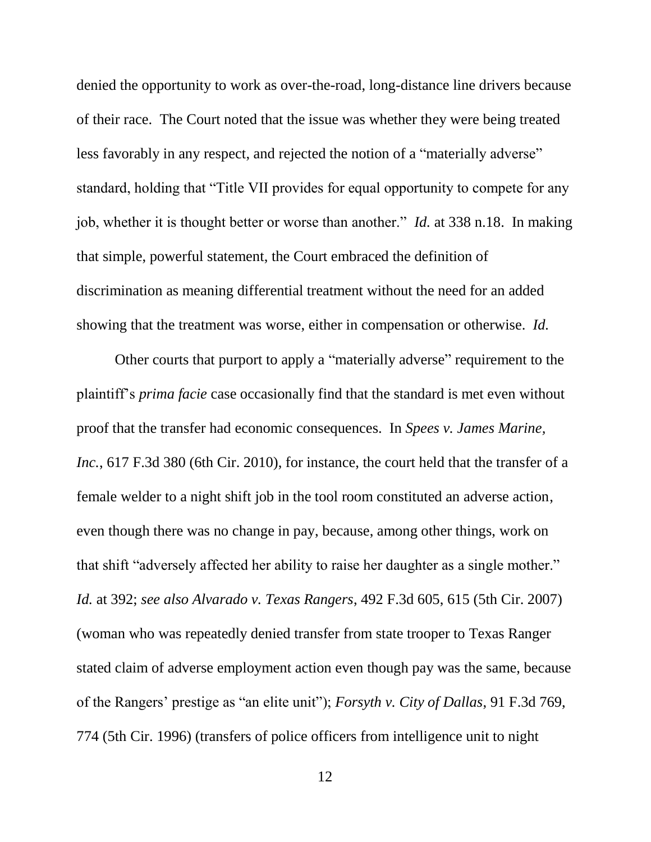denied the opportunity to work as over-the-road, long-distance line drivers because of their race. The Court noted that the issue was whether they were being treated less favorably in any respect, and rejected the notion of a "materially adverse" standard, holding that "Title VII provides for equal opportunity to compete for any job, whether it is thought better or worse than another." *Id.* at 338 n.18. In making that simple, powerful statement, the Court embraced the definition of discrimination as meaning differential treatment without the need for an added showing that the treatment was worse, either in compensation or otherwise. *Id.*

Other courts that purport to apply a "materially adverse" requirement to the plaintiff's *prima facie* case occasionally find that the standard is met even without proof that the transfer had economic consequences. In *Spees v. James Marine, Inc.*, 617 F.3d 380 (6th Cir. 2010), for instance, the court held that the transfer of a female welder to a night shift job in the tool room constituted an adverse action, even though there was no change in pay, because, among other things, work on that shift "adversely affected her ability to raise her daughter as a single mother." *Id.* at 392; *see also Alvarado v. Texas Rangers*, 492 F.3d 605, 615 (5th Cir. 2007) (woman who was repeatedly denied transfer from state trooper to Texas Ranger stated claim of adverse employment action even though pay was the same, because of the Rangers' prestige as "an elite unit"); *Forsyth v. City of Dallas*, 91 F.3d 769, 774 (5th Cir. 1996) (transfers of police officers from intelligence unit to night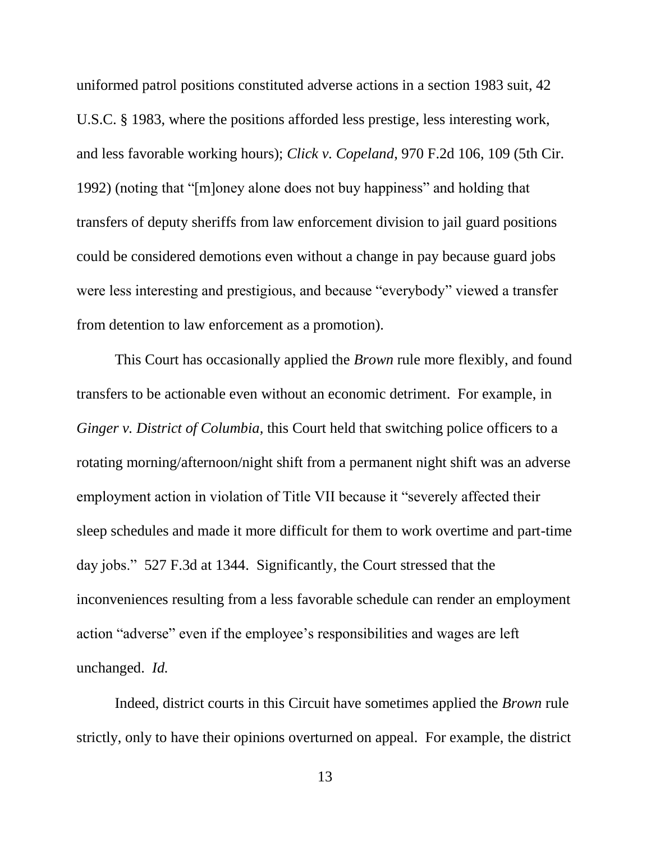uniformed patrol positions constituted adverse actions in a section 1983 suit, 42 U.S.C. § 1983, where the positions afforded less prestige, less interesting work, and less favorable working hours); *Click v. Copeland*, 970 F.2d 106, 109 (5th Cir. 1992) (noting that "[m]oney alone does not buy happiness" and holding that transfers of deputy sheriffs from law enforcement division to jail guard positions could be considered demotions even without a change in pay because guard jobs were less interesting and prestigious, and because "everybody" viewed a transfer from detention to law enforcement as a promotion).

This Court has occasionally applied the *Brown* rule more flexibly, and found transfers to be actionable even without an economic detriment. For example, in *Ginger v. District of Columbia,* this Court held that switching police officers to a rotating morning/afternoon/night shift from a permanent night shift was an adverse employment action in violation of Title VII because it "severely affected their sleep schedules and made it more difficult for them to work overtime and part-time day jobs." 527 F.3d at 1344. Significantly, the Court stressed that the inconveniences resulting from a less favorable schedule can render an employment action "adverse" even if the employee's responsibilities and wages are left unchanged. *Id.*

Indeed, district courts in this Circuit have sometimes applied the *Brown* rule strictly, only to have their opinions overturned on appeal. For example, the district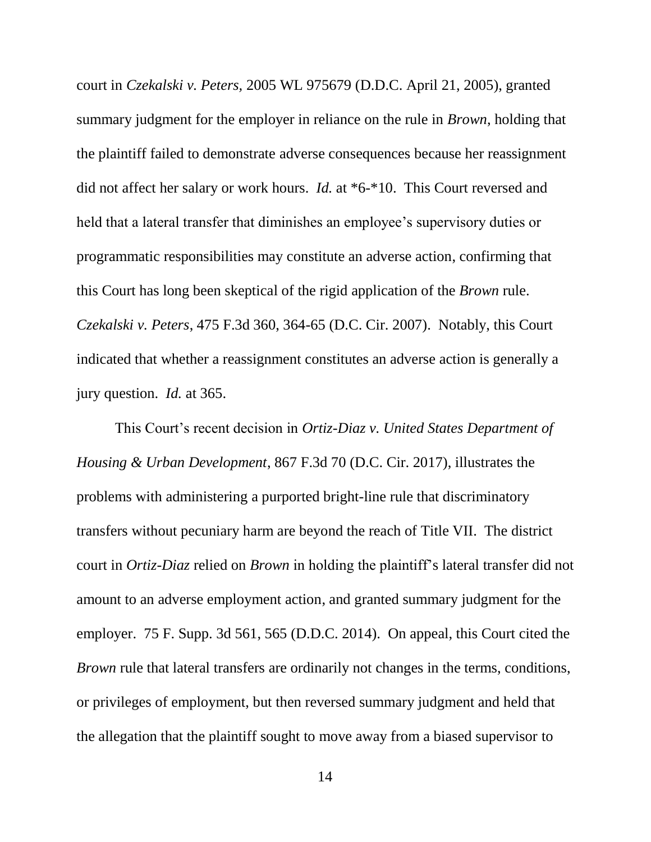court in *Czekalski v. Peters,* 2005 WL 975679 (D.D.C. April 21, 2005), granted summary judgment for the employer in reliance on the rule in *Brown*, holding that the plaintiff failed to demonstrate adverse consequences because her reassignment did not affect her salary or work hours. *Id.* at \*6-\*10. This Court reversed and held that a lateral transfer that diminishes an employee's supervisory duties or programmatic responsibilities may constitute an adverse action, confirming that this Court has long been skeptical of the rigid application of the *Brown* rule. *Czekalski v. Peters*, 475 F.3d 360, 364-65 (D.C. Cir. 2007). Notably, this Court indicated that whether a reassignment constitutes an adverse action is generally a jury question. *Id.* at 365.

This Court's recent decision in *Ortiz-Diaz v. United States Department of Housing & Urban Development*, 867 F.3d 70 (D.C. Cir. 2017), illustrates the problems with administering a purported bright-line rule that discriminatory transfers without pecuniary harm are beyond the reach of Title VII. The district court in *Ortiz-Diaz* relied on *Brown* in holding the plaintiff's lateral transfer did not amount to an adverse employment action, and granted summary judgment for the employer. 75 F. Supp. 3d 561, 565 (D.D.C. 2014). On appeal, this Court cited the *Brown* rule that lateral transfers are ordinarily not changes in the terms, conditions, or privileges of employment, but then reversed summary judgment and held that the allegation that the plaintiff sought to move away from a biased supervisor to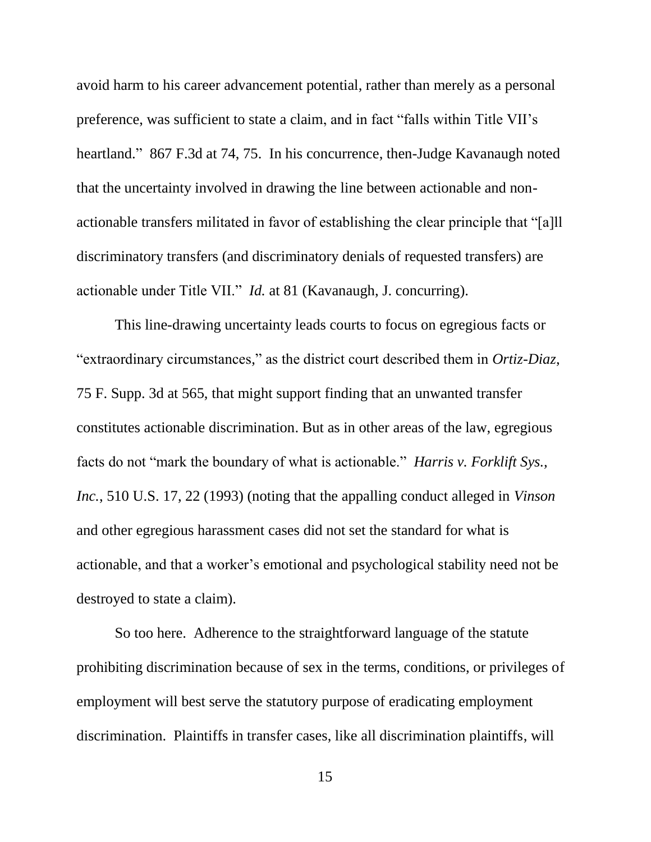avoid harm to his career advancement potential, rather than merely as a personal preference, was sufficient to state a claim, and in fact "falls within Title VII's heartland." 867 F.3d at 74, 75. In his concurrence, then-Judge Kavanaugh noted that the uncertainty involved in drawing the line between actionable and nonactionable transfers militated in favor of establishing the clear principle that "[a]ll discriminatory transfers (and discriminatory denials of requested transfers) are actionable under Title VII." *Id.* at 81 (Kavanaugh, J. concurring).

This line-drawing uncertainty leads courts to focus on egregious facts or "extraordinary circumstances," as the district court described them in *Ortiz-Diaz*, 75 F. Supp. 3d at 565, that might support finding that an unwanted transfer constitutes actionable discrimination. But as in other areas of the law, egregious facts do not "mark the boundary of what is actionable." *Harris v. Forklift Sys., Inc.*, 510 U.S. 17, 22 (1993) (noting that the appalling conduct alleged in *Vinson* and other egregious harassment cases did not set the standard for what is actionable, and that a worker's emotional and psychological stability need not be destroyed to state a claim).

So too here. Adherence to the straightforward language of the statute prohibiting discrimination because of sex in the terms, conditions, or privileges of employment will best serve the statutory purpose of eradicating employment discrimination. Plaintiffs in transfer cases, like all discrimination plaintiffs, will

15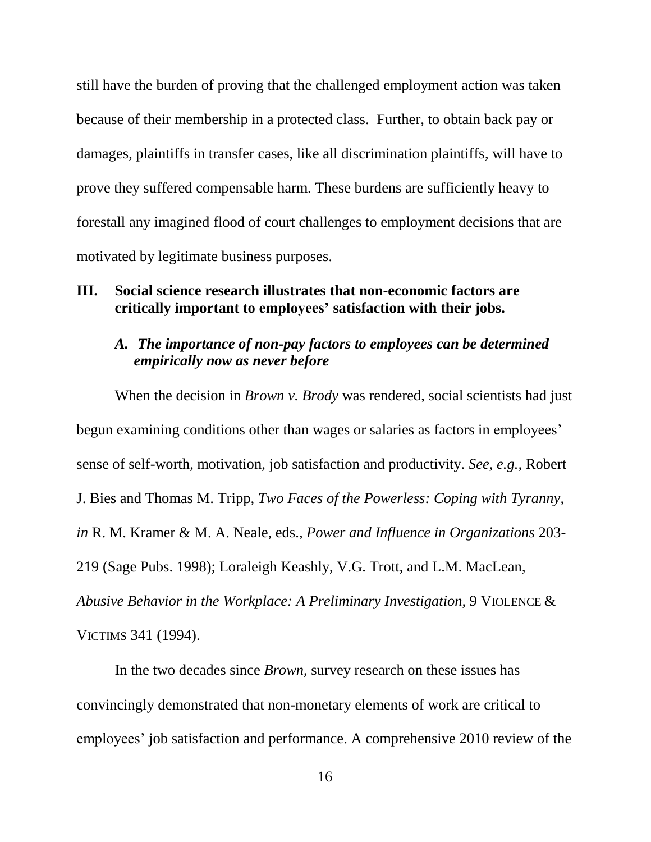still have the burden of proving that the challenged employment action was taken because of their membership in a protected class. Further, to obtain back pay or damages, plaintiffs in transfer cases, like all discrimination plaintiffs, will have to prove they suffered compensable harm. These burdens are sufficiently heavy to forestall any imagined flood of court challenges to employment decisions that are motivated by legitimate business purposes.

### **III. Social science research illustrates that non-economic factors are critically important to employees' satisfaction with their jobs.**

### *A. The importance of non-pay factors to employees can be determined empirically now as never before*

When the decision in *Brown v. Brody* was rendered, social scientists had just begun examining conditions other than wages or salaries as factors in employees' sense of self-worth, motivation, job satisfaction and productivity. *See, e.g.,* Robert J. Bies and Thomas M. Tripp, *Two Faces of the Powerless: Coping with Tyranny*, *in* R. M. Kramer & M. A. Neale, eds., *Power and Influence in Organizations* 203- 219 (Sage Pubs. 1998); Loraleigh Keashly, V.G. Trott, and L.M. MacLean, *Abusive Behavior in the Workplace: A Preliminary Investigation*, 9 VIOLENCE &

VICTIMS 341 (1994).

In the two decades since *Brown*, survey research on these issues has convincingly demonstrated that non-monetary elements of work are critical to employees' job satisfaction and performance. A comprehensive 2010 review of the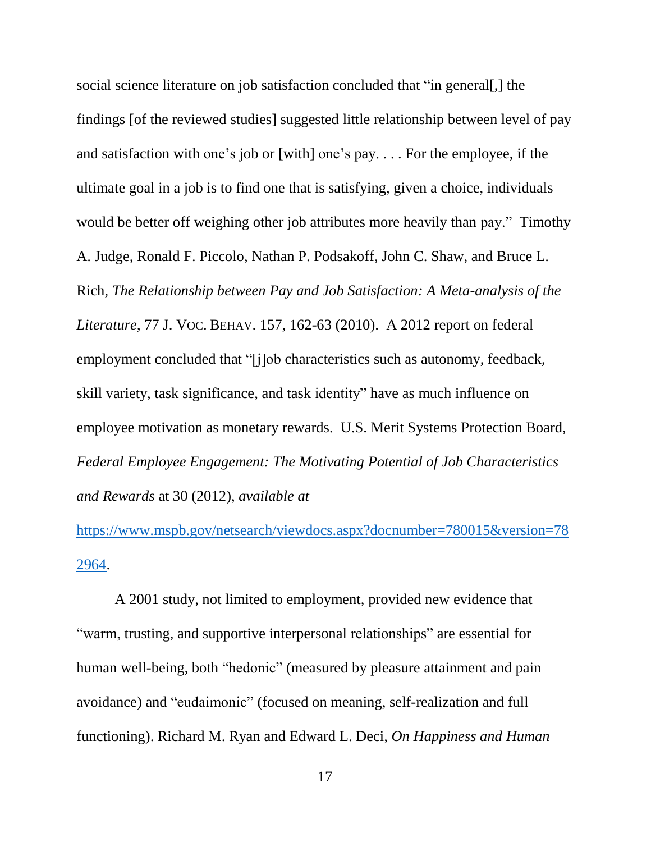social science literature on job satisfaction concluded that "in general[,] the findings [of the reviewed studies] suggested little relationship between level of pay and satisfaction with one's job or [with] one's pay. . . . For the employee, if the ultimate goal in a job is to find one that is satisfying, given a choice, individuals would be better off weighing other job attributes more heavily than pay." Timothy A. Judge, Ronald F. Piccolo, Nathan P. Podsakoff, John C. Shaw, and Bruce L. Rich, *The Relationship between Pay and Job Satisfaction: A Meta-analysis of the Literature*, 77 J. VOC. BEHAV. 157, 162-63 (2010). A 2012 report on federal employment concluded that "[j]ob characteristics such as autonomy, feedback, skill variety, task significance, and task identity" have as much influence on employee motivation as monetary rewards. U.S. Merit Systems Protection Board, *Federal Employee Engagement: The Motivating Potential of Job Characteristics and Rewards* at 30 (2012), *available at*

[https://www.mspb.gov/netsearch/viewdocs.aspx?docnumber=780015&version=78](https://www.mspb.gov/netsearch/viewdocs.aspx?docnumber=780015&version=782964) [2964.](https://www.mspb.gov/netsearch/viewdocs.aspx?docnumber=780015&version=782964)

A 2001 study, not limited to employment, provided new evidence that "warm, trusting, and supportive interpersonal relationships" are essential for human well-being, both "hedonic" (measured by pleasure attainment and pain avoidance) and "eudaimonic" (focused on meaning, self-realization and full functioning). Richard M. Ryan and Edward L. Deci, *On Happiness and Human*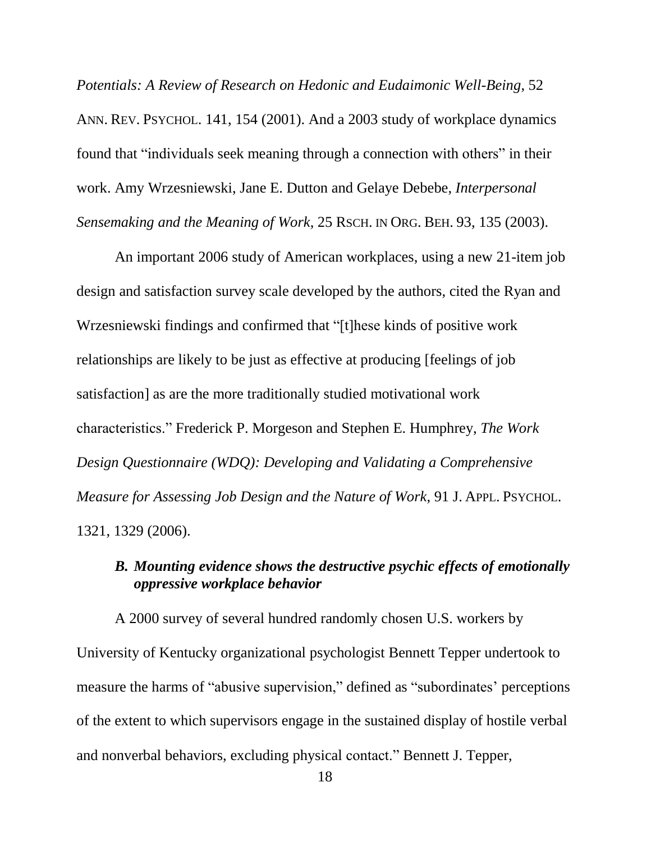*Potentials: A Review of Research on Hedonic and Eudaimonic Well-Being*, 52 ANN. REV. PSYCHOL. 141, 154 (2001). And a 2003 study of workplace dynamics found that "individuals seek meaning through a connection with others" in their work. Amy Wrzesniewski, Jane E. Dutton and Gelaye Debebe, *Interpersonal Sensemaking and the Meaning of Work*, 25 RSCH. IN ORG. BEH. 93, 135 (2003).

An important 2006 study of American workplaces, using a new 21-item job design and satisfaction survey scale developed by the authors, cited the Ryan and Wrzesniewski findings and confirmed that "[t]hese kinds of positive work relationships are likely to be just as effective at producing [feelings of job satisfaction] as are the more traditionally studied motivational work characteristics." Frederick P. Morgeson and Stephen E. Humphrey, *The Work Design Questionnaire (WDQ): Developing and Validating a Comprehensive Measure for Assessing Job Design and the Nature of Work*, 91 J. APPL. PSYCHOL. 1321, 1329 (2006).

## *B. Mounting evidence shows the destructive psychic effects of emotionally oppressive workplace behavior*

A 2000 survey of several hundred randomly chosen U.S. workers by University of Kentucky organizational psychologist Bennett Tepper undertook to measure the harms of "abusive supervision," defined as "subordinates' perceptions of the extent to which supervisors engage in the sustained display of hostile verbal and nonverbal behaviors, excluding physical contact." Bennett J. Tepper,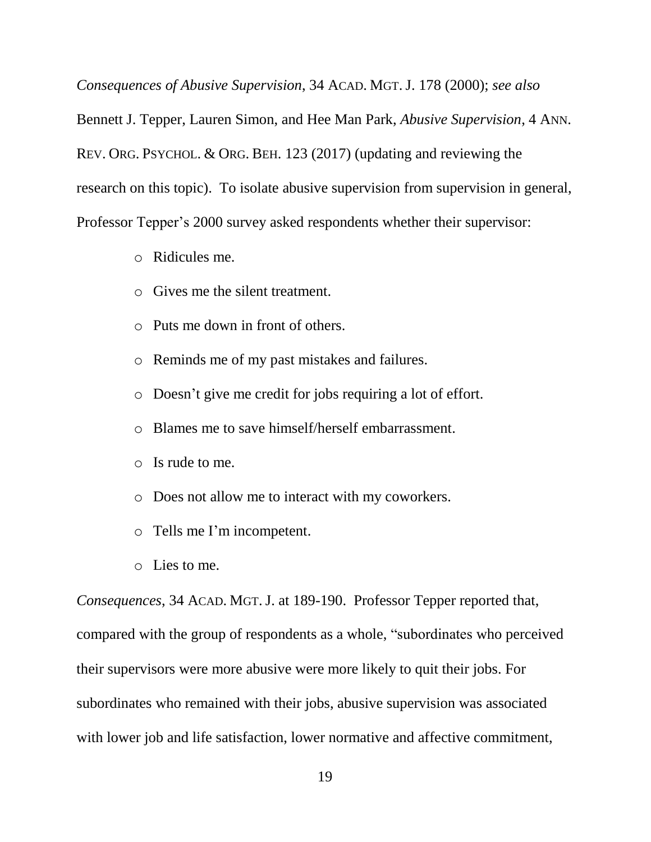*Consequences of Abusive Supervision*, 34 ACAD. MGT.J. 178 (2000); *see also*

Bennett J. Tepper, Lauren Simon, and Hee Man Park, *Abusive Supervision*, 4 ANN. REV. ORG. PSYCHOL. & ORG. BEH. 123 (2017) (updating and reviewing the research on this topic). To isolate abusive supervision from supervision in general, Professor Tepper's 2000 survey asked respondents whether their supervisor:

- o Ridicules me.
- o Gives me the silent treatment.
- o Puts me down in front of others.
- o Reminds me of my past mistakes and failures.
- o Doesn't give me credit for jobs requiring a lot of effort.
- o Blames me to save himself/herself embarrassment.
- o Is rude to me.
- o Does not allow me to interact with my coworkers.
- o Tells me I'm incompetent.
- o Lies to me.

*Consequences*, 34 ACAD. MGT.J. at 189-190. Professor Tepper reported that, compared with the group of respondents as a whole, "subordinates who perceived their supervisors were more abusive were more likely to quit their jobs. For subordinates who remained with their jobs, abusive supervision was associated with lower job and life satisfaction, lower normative and affective commitment,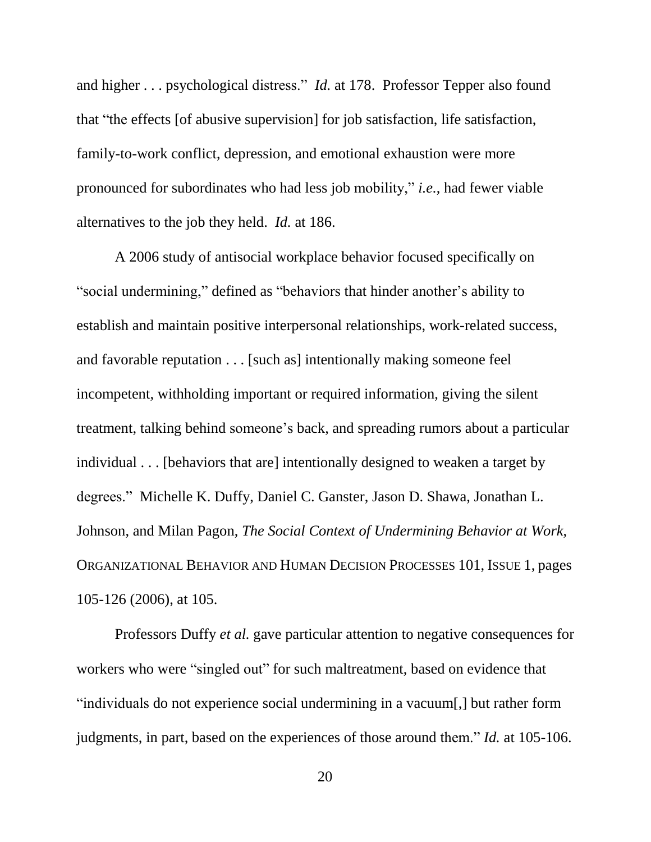and higher . . . psychological distress." *Id.* at 178. Professor Tepper also found that "the effects [of abusive supervision] for job satisfaction, life satisfaction, family-to-work conflict, depression, and emotional exhaustion were more pronounced for subordinates who had less job mobility," *i.e.*, had fewer viable alternatives to the job they held. *Id.* at 186.

A 2006 study of antisocial workplace behavior focused specifically on "social undermining," defined as "behaviors that hinder another's ability to establish and maintain positive interpersonal relationships, work-related success, and favorable reputation . . . [such as] intentionally making someone feel incompetent, withholding important or required information, giving the silent treatment, talking behind someone's back, and spreading rumors about a particular individual . . . [behaviors that are] intentionally designed to weaken a target by degrees." Michelle K. Duffy, Daniel C. Ganster, Jason D. Shawa, Jonathan L. Johnson, and Milan Pagon, *The Social Context of Undermining Behavior at Work*, ORGANIZATIONAL BEHAVIOR AND HUMAN DECISION PROCESSES 101, ISSUE 1, pages 105-126 (2006), at 105.

Professors Duffy *et al.* gave particular attention to negative consequences for workers who were "singled out" for such maltreatment, based on evidence that "individuals do not experience social undermining in a vacuum[,] but rather form judgments, in part, based on the experiences of those around them." *Id.* at 105-106.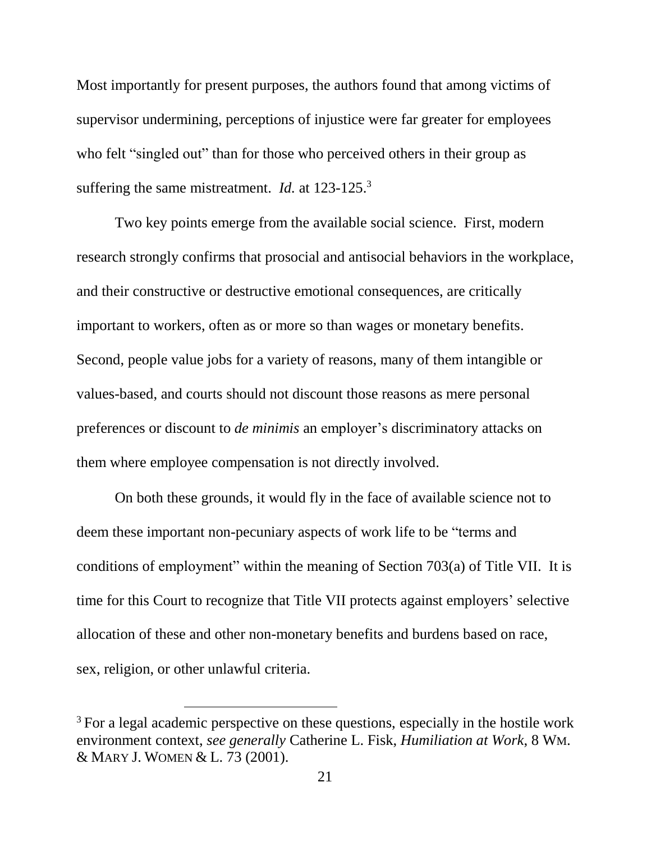Most importantly for present purposes, the authors found that among victims of supervisor undermining, perceptions of injustice were far greater for employees who felt "singled out" than for those who perceived others in their group as suffering the same mistreatment. *Id.* at 123-125.<sup>3</sup>

Two key points emerge from the available social science. First, modern research strongly confirms that prosocial and antisocial behaviors in the workplace, and their constructive or destructive emotional consequences, are critically important to workers, often as or more so than wages or monetary benefits. Second, people value jobs for a variety of reasons, many of them intangible or values-based, and courts should not discount those reasons as mere personal preferences or discount to *de minimis* an employer's discriminatory attacks on them where employee compensation is not directly involved.

On both these grounds, it would fly in the face of available science not to deem these important non-pecuniary aspects of work life to be "terms and conditions of employment" within the meaning of Section 703(a) of Title VII. It is time for this Court to recognize that Title VII protects against employers' selective allocation of these and other non-monetary benefits and burdens based on race, sex, religion, or other unlawful criteria.

 $\overline{a}$ 

<sup>&</sup>lt;sup>3</sup> For a legal academic perspective on these questions, especially in the hostile work environment context, *see generally* Catherine L. Fisk, *Humiliation at Work*, 8 WM. & MARY J. WOMEN & L. 73 (2001).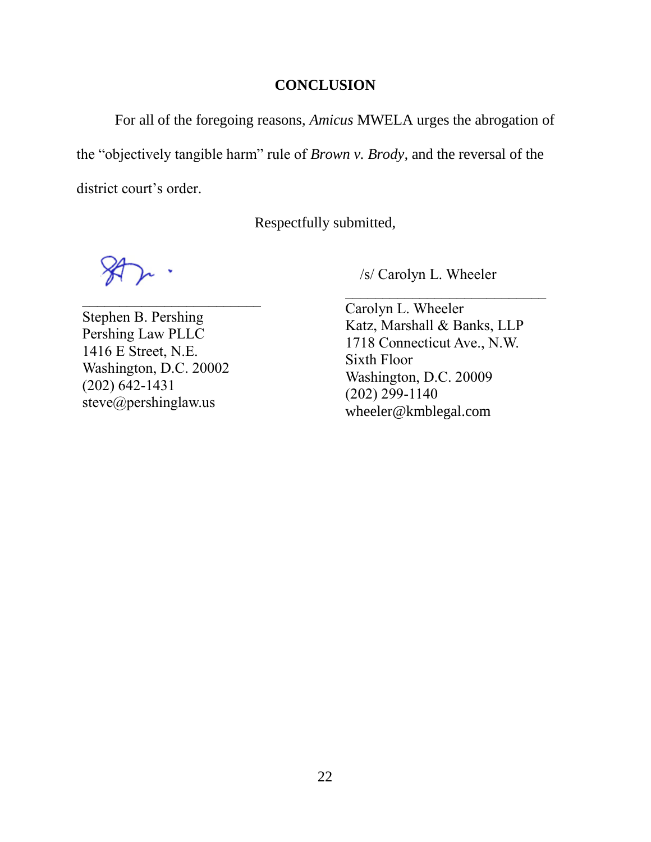### **CONCLUSION**

For all of the foregoing reasons, *Amicus* MWELA urges the abrogation of the "objectively tangible harm" rule of *Brown v. Brody,* and the reversal of the district court's order.

Respectfully submitted,

Stephen B. Pershing Pershing Law PLLC 1416 E Street, N.E. Washington, D.C. 20002 (202) 642-1431 steve@pershinglaw.us

 $\mathcal{L}_\text{max}$  , where  $\mathcal{L}_\text{max}$  and  $\mathcal{L}_\text{max}$ 

/s/ Carolyn L. Wheeler

Carolyn L. Wheeler Katz, Marshall & Banks, LLP 1718 Connecticut Ave., N.W. Sixth Floor Washington, D.C. 20009 (202) 299-1140 wheeler@kmblegal.com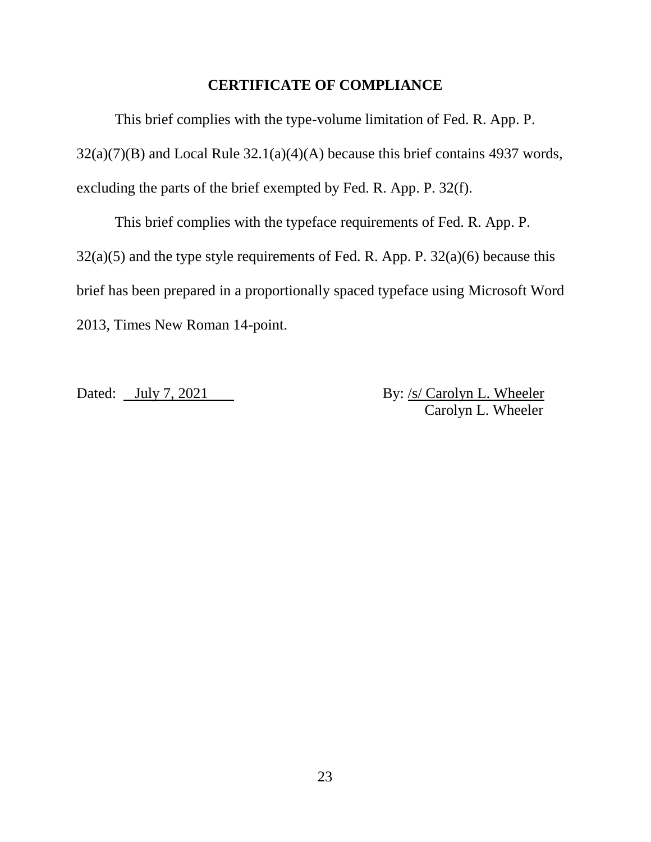### **CERTIFICATE OF COMPLIANCE**

This brief complies with the type-volume limitation of Fed. R. App. P.  $32(a)(7)(B)$  and Local Rule  $32.1(a)(4)(A)$  because this brief contains 4937 words, excluding the parts of the brief exempted by Fed. R. App. P. 32(f).

This brief complies with the typeface requirements of Fed. R. App. P.  $32(a)(5)$  and the type style requirements of Fed. R. App. P.  $32(a)(6)$  because this brief has been prepared in a proportionally spaced typeface using Microsoft Word 2013, Times New Roman 14-point.

Dated: July 7, 2021 By: /s/ Carolyn L. Wheeler Carolyn L. Wheeler